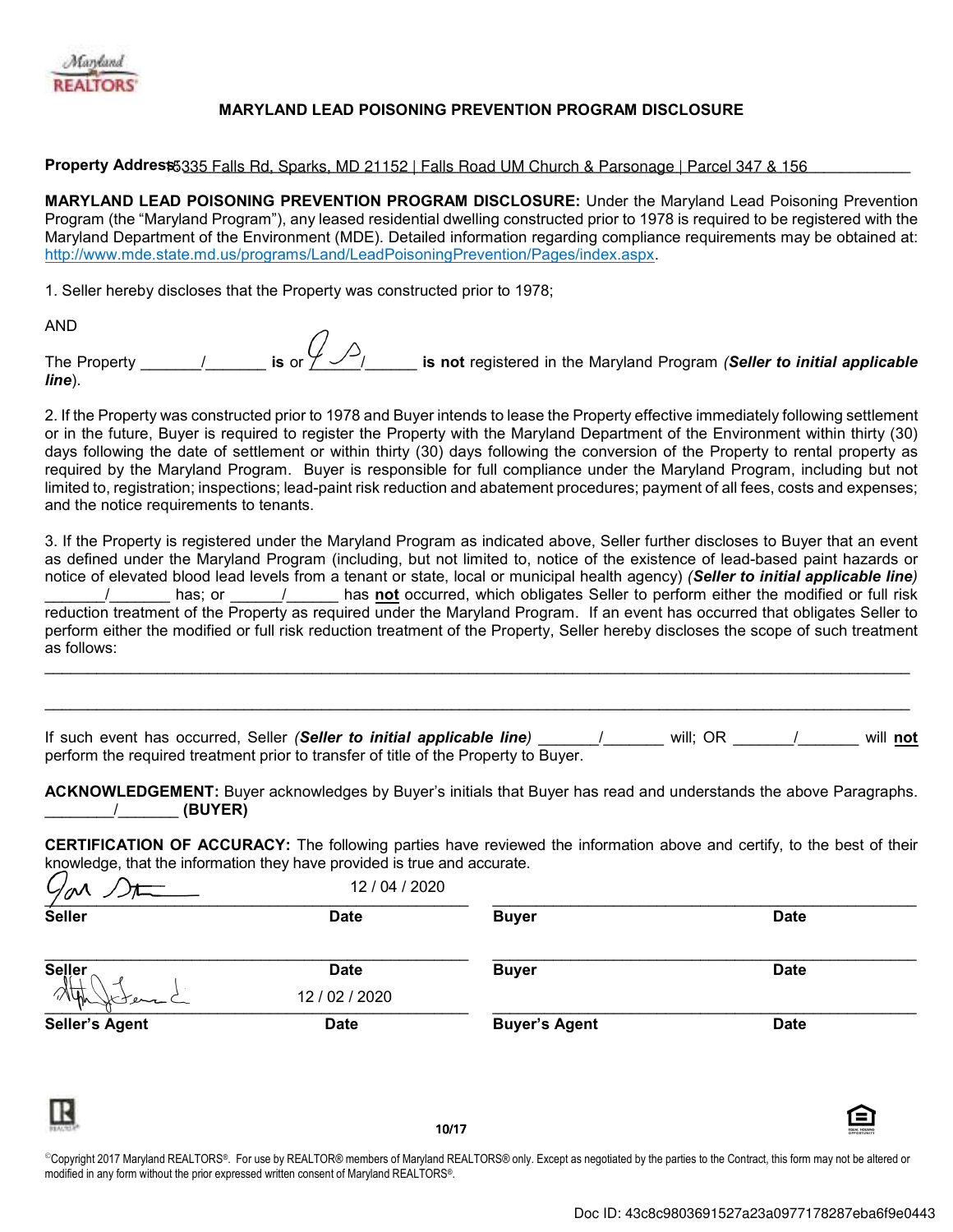

## **MARYLAND LEAD POISONING PREVENTION PROGRAM DISCLOSURE**

Property Addrest 5335 Falls Rd, Sparks, MD 21152 | Falls Road UM Church & Parsonage | Parcel 347 & 156

MARYLAND LEAD POISONING PREVENTION PROGRAM DISCLOSURE: Under the Maryland Lead Poisoning Prevention Program (the "Maryland Program"), any leased residential dwelling constructed prior to 1978 is required to be registered with the Maryland Department of the Environment (MDE). Detailed information regarding compliance requirements may be obtained at: http://www.mde.state.md.us/programs/Land/LeadPoisoningPrevention/Pages/index.aspx.

1. Seller hereby discloses that the Property was constructed prior to 1978;

**AND** 

is or  $\mathcal{G}_{\mathcal{P}}$ is not registered in the Maryland Program (Seller to initial applicable The Property  $line$ ).

2. If the Property was constructed prior to 1978 and Buyer intends to lease the Property effective immediately following settlement or in the future, Buyer is required to register the Property with the Maryland Department of the Environment within thirty (30) days following the date of settlement or within thirty (30) days following the conversion of the Property to rental property as required by the Maryland Program. Buyer is responsible for full compliance under the Maryland Program, including but not limited to, registration; inspections; lead-paint risk reduction and abatement procedures; payment of all fees, costs and expenses; and the notice requirements to tenants.

3. If the Property is registered under the Maryland Program as indicated above. Seller further discloses to Buyer that an event as defined under the Maryland Program (including, but not limited to, notice of the existence of lead-based paint hazards or notice of elevated blood lead levels from a tenant or state, local or municipal health agency) (Seller to initial applicable line) has; or \_\_\_\_\_\_/\_\_\_\_\_\_ has not occurred, which obligates Seller to perform either the modified or full risk  $\sqrt{2}$ reduction treatment of the Property as required under the Maryland Program. If an event has occurred that obligates Seller to perform either the modified or full risk reduction treatment of the Property, Seller hereby discloses the scope of such treatment as follows:

<u>/\_\_\_\_\_\_\_</u> will; OR \_\_\_\_\_\_\_ / will not If such event has occurred, Seller (Seller to initial applicable line) perform the required treatment prior to transfer of title of the Property to Buyer.

ACKNOWLEDGEMENT: Buyer acknowledges by Buyer's initials that Buyer has read and understands the above Paragraphs.  $\frac{1}{2}$  (BUYER)

**CERTIFICATION OF ACCURACY:** The following parties have reviewed the information above and certify, to the best of their knowledge, that the information they have provided is true and accurate.

| $\mathcal{G}_{\mathcal{O}}$ | 12 / 04 / 2020                |                      |                                          |
|-----------------------------|-------------------------------|----------------------|------------------------------------------|
| <b>Seller</b>               | <b>Date</b>                   | <b>Buyer</b>         | <b>Date</b>                              |
| <b>Seller</b>               | <b>Date</b><br>12 / 02 / 2020 | <b>Buyer</b>         | <b>Date</b>                              |
| سمعمل<br>Seller's Agent     | <b>Date</b>                   | <b>Buyer's Agent</b> | <b>Date</b>                              |
| π<br><b>REALTO</b>          | 10/17                         |                      | Θ<br><b>DOUAL HOUSING</b><br>OPPORTUNITY |

©Copyright 2017 Maryland REALTORS®. For use by REALTOR® members of Maryland REALTORS® only. Except as negotiated by the parties to the Contract, this form may not be altered or modified in any form without the prior expressed written consent of Maryland REALTORS®.